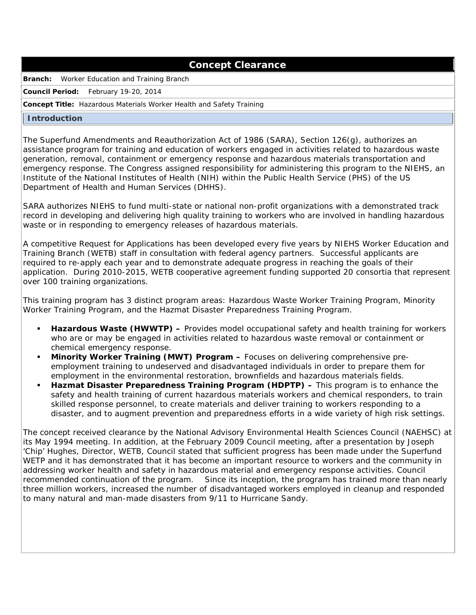# **Concept Clearance**

**Branch:** Worker Education and Training Branch

**Council Period:** February 19-20, 2014

### **Concept Title:** Hazardous Materials Worker Health and Safety Training

### **Introduction**

 The Superfund Amendments and Reauthorization Act of 1986 (SARA), Section 126(g), authorizes an assistance program for training and education of workers engaged in activities related to hazardous waste generation, removal, containment or emergency response and hazardous materials transportation and emergency response. The Congress assigned responsibility for administering this program to the NIEHS, an Institute of the National Institutes of Health (NIH) within the Public Health Service (PHS) of the US Department of Health and Human Services (DHHS).

 SARA authorizes NIEHS to fund multi-state or national non-profit organizations with a demonstrated track record in developing and delivering high quality training to workers who are involved in handling hazardous waste or in responding to emergency releases of hazardous materials.

 A competitive Request for Applications has been developed every five years by NIEHS Worker Education and Training Branch (WETB) staff in consultation with federal agency partners. Successful applicants are required to re-apply each year and to demonstrate adequate progress in reaching the goals of their application. During 2010-2015, WETB cooperative agreement funding supported 20 consortia that represent over 100 training organizations.

 This training program has 3 distinct program areas: Hazardous Waste Worker Training Program, Minority Worker Training Program, and the Hazmat Disaster Preparedness Training Program.

- **Hazardous Waste (HWWTP) –** Provides model occupational safety and health training for workers who are or may be engaged in activities related to hazardous waste removal or containment or chemical emergency response.
- **Minority Worker Training (MWT) Program –** Focuses on delivering comprehensive pre- employment training to undeserved and disadvantaged individuals in order to prepare them for employment in the environmental restoration, brownfields and hazardous materials fields.
- **Hazmat Disaster Preparedness Training Program (HDPTP) This program is to enhance the**  safety and health training of current hazardous materials workers and chemical responders, to train skilled response personnel, to create materials and deliver training to workers responding to a disaster, and to augment prevention and preparedness efforts in a wide variety of high risk settings.

 The concept received clearance by the National Advisory Environmental Health Sciences Council (NAEHSC) at its May 1994 meeting. In addition, at the February 2009 Council meeting, after a presentation by Joseph 'Chip' Hughes, Director, WETB, Council stated that sufficient progress has been made under the Superfund WETP and it has demonstrated that it has become an important resource to workers and the community in addressing worker health and safety in hazardous material and emergency response activities. Council recommended continuation of the program. Since its inception, the program has trained more than nearly three million workers, increased the number of disadvantaged workers employed in cleanup and responded to many natural and man-made disasters from 9/11 to Hurricane Sandy.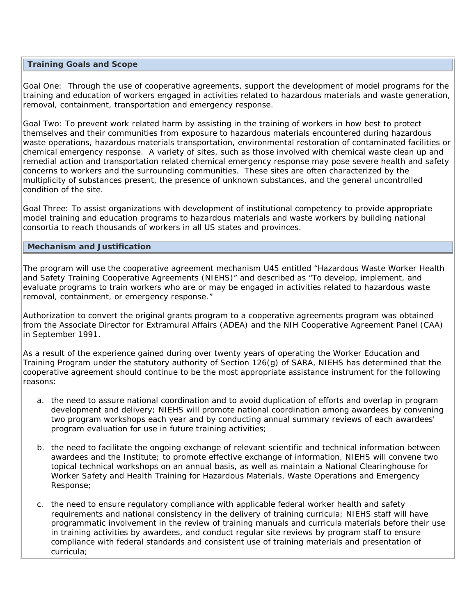## **Training Goals and Scope**

 Goal One: Through the use of cooperative agreements, support the development of model programs for the training and education of workers engaged in activities related to hazardous materials and waste generation, removal, containment, transportation and emergency response.

 Goal Two: To prevent work related harm by assisting in the training of workers in how best to protect themselves and their communities from exposure to hazardous materials encountered during hazardous waste operations, hazardous materials transportation, environmental restoration of contaminated facilities or chemical emergency response. A variety of sites, such as those involved with chemical waste clean up and remedial action and transportation related chemical emergency response may pose severe health and safety concerns to workers and the surrounding communities. These sites are often characterized by the multiplicity of substances present, the presence of unknown substances, and the general uncontrolled condition of the site.

 Goal Three: To assist organizations with development of institutional competency to provide appropriate model training and education programs to hazardous materials and waste workers by building national consortia to reach thousands of workers in all US states and provinces.

### **Mechanism and Justification**

 The program will use the cooperative agreement mechanism U45 entitled "Hazardous Waste Worker Health and Safety Training Cooperative Agreements (NIEHS)" and described as "To develop, implement, and evaluate programs to train workers who are or may be engaged in activities related to hazardous waste removal, containment, or emergency response."

 Authorization to convert the original grants program to a cooperative agreements program was obtained from the Associate Director for Extramural Affairs (ADEA) and the NIH Cooperative Agreement Panel (CAA) in September 1991.

 As a result of the experience gained during over twenty years of operating the Worker Education and Training Program under the statutory authority of Section 126(g) of SARA, NIEHS has determined that the cooperative agreement should continue to be the most appropriate assistance instrument for the following reasons:

- a. the need to assure national coordination and to avoid duplication of efforts and overlap in program development and delivery; NIEHS will promote national coordination among awardees by convening two program workshops each year and by conducting annual summary reviews of each awardees' program evaluation for use in future training activities;
- b. the need to facilitate the ongoing exchange of relevant scientific and technical information between awardees and the Institute; to promote effective exchange of information, NIEHS will convene two topical technical workshops on an annual basis, as well as maintain a National Clearinghouse for Worker Safety and Health Training for Hazardous Materials, Waste Operations and Emergency Response;
- c. the need to ensure regulatory compliance with applicable federal worker health and safety requirements and national consistency in the delivery of training curricula; NIEHS staff will have programmatic involvement in the review of training manuals and curricula materials before their use in training activities by awardees, and conduct regular site reviews by program staff to ensure compliance with federal standards and consistent use of training materials and presentation of curricula;